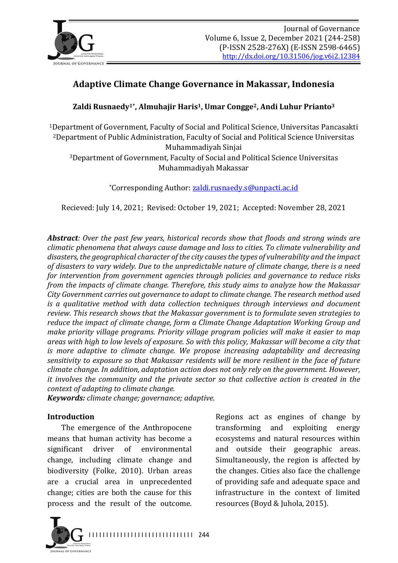

# **Adaptive Climate Change Governance in Makassar, Indonesia**

### **Zaldi Rusnaedy<sup>1\*</sup>, Almuhajir Haris<sup>1</sup>, Umar Congge<sup>2</sup>, Andi Luhur Prianto<sup>3</sup>**

<sup>1</sup>Department of Government, Faculty of Social and Political Science, Universitas Pancasakti <sup>2</sup>Department of Public Administration, Faculty of Social and Political Science Universitas Muhammadiyah Sinjai

<sup>3</sup>Department of Government, Faculty of Social and Political Science Universitas Muhammadiyah Makassar

\*Corresponding Author: zaldi.rusnaedy.s@unpacti.ac.id

Recieved: July 14, 2021; Revised: October 19, 2021; Accepted: November 28, 2021

*Abstract:* Over the past few years, historical records show that floods and strong winds are *climatic phenomena that always cause damage and loss to cities. To climate vulnerability and* disasters, the geographical character of the city causes the types of vulnerability and the impact of disasters to vary widely. Due to the unpredictable nature of climate change, there is a need *for intervention from government agencies through policies and governance to reduce risks from the impacts of climate change. Therefore, this study aims to analyze how the Makassar City Government carries out governance to adapt to climate change. The research method used is* a qualitative method with data collection techniques through interviews and document *review.* This research shows that the Makassar government is to formulate seven strategies to reduce the impact of climate change, form a Climate Change Adaptation Working Group and *make priority village programs. Priority village program policies will make it easier to map* areas with high to low levels of exposure. So with this policy, Makassar will become a city that *is* more adaptive to climate change. We propose increasing adaptability and decreasing sensitivity to exposure so that Makassar residents will be more resilient in the face of future *climate change. In addition, adaptation action does not only rely on the government. However, it involves the community and the private sector so that collective action is created in the context of adapting to climate change.* 

*Keywords: climate change; governance; adaptive.* 

#### **Introduction**

The emergence of the Anthropocene means that human activity has become a significant driver of environmental change, including climate change and biodiversity (Folke, 2010). Urban areas are a crucial area in unprecedented change; cities are both the cause for this process and the result of the outcome.

Regions act as engines of change by transforming and exploiting energy ecosystems and natural resources within and outside their geographic areas. Simultaneously, the region is affected by the changes. Cities also face the challenge of providing safe and adequate space and infrastructure in the context of limited resources (Boyd & Juhola, 2015).

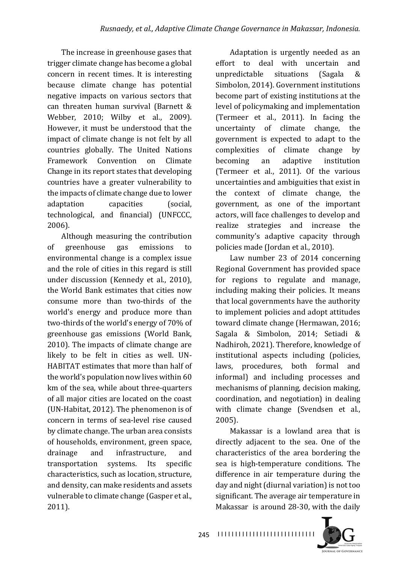The increase in greenhouse gases that trigger climate change has become a global concern in recent times. It is interesting because climate change has potential negative impacts on various sectors that can threaten human survival (Barnett & Webber, 2010; Wilby et al., 2009). However, it must be understood that the impact of climate change is not felt by all countries globally. The United Nations Framework Convention on Climate Change in its report states that developing countries have a greater vulnerability to the impacts of climate change due to lower adaptation capacities (social, technological, and financial) (UNFCCC, 2006). 

Although measuring the contribution of greenhouse gas emissions to environmental change is a complex issue and the role of cities in this regard is still under discussion (Kennedy et al., 2010), the World Bank estimates that cities now consume more than two-thirds of the world's energy and produce more than two-thirds of the world's energy of 70% of greenhouse gas emissions (World Bank, 2010). The impacts of climate change are likely to be felt in cities as well. UN-HABITAT estimates that more than half of the world's population now lives within 60 km of the sea, while about three-quarters of all major cities are located on the coast (UN-Habitat, 2012). The phenomenon is of concern in terms of sea-level rise caused by climate change. The urban area consists of households, environment, green space, drainage and infrastructure, and transportation systems. Its specific characteristics, such as location, structure, and density, can make residents and assets vulnerable to climate change (Gasper et al., 2011). 

Adaptation is urgently needed as an effort to deal with uncertain and unpredictable situations (Sagala & Simbolon, 2014). Government institutions become part of existing institutions at the level of policymaking and implementation (Termeer et al., 2011). In facing the uncertainty of climate change, the government is expected to adapt to the complexities of climate change by becoming an adaptive institution (Termeer et al., 2011). Of the various uncertainties and ambiguities that exist in the context of climate change, the government, as one of the important actors, will face challenges to develop and realize strategies and increase the community's adaptive capacity through policies made (Jordan et al., 2010).

Law number 23 of 2014 concerning Regional Government has provided space for regions to regulate and manage, including making their policies. It means that local governments have the authority to implement policies and adopt attitudes toward climate change (Hermawan, 2016; Sagala & Simbolon, 2014; Setiadi & Nadhiroh, 2021). Therefore, knowledge of institutional aspects including (policies, laws, procedures, both formal and informal) and including processes and mechanisms of planning, decision making, coordination, and negotiation) in dealing with climate change (Svendsen et al., 2005). 

Makassar is a lowland area that is directly adjacent to the sea. One of the characteristics of the area bordering the sea is high-temperature conditions. The difference in air temperature during the day and night (diurnal variation) is not too significant. The average air temperature in Makassar is around 28-30, with the daily

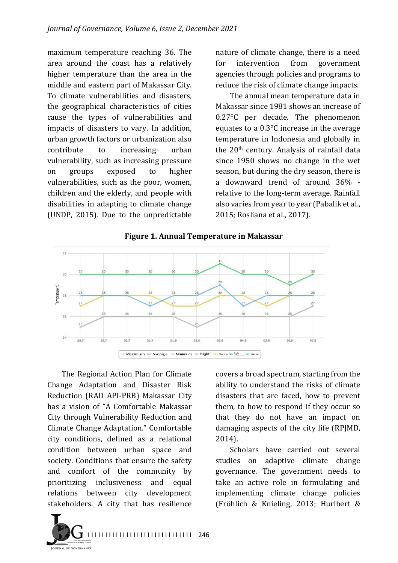maximum temperature reaching 36. The area around the coast has a relatively higher temperature than the area in the middle and eastern part of Makassar City. To climate vulnerabilities and disasters, the geographical characteristics of cities cause the types of vulnerabilities and impacts of disasters to vary. In addition, urban growth factors or urbanization also contribute to increasing urban vulnerability, such as increasing pressure on groups exposed to higher vulnerabilities, such as the poor, women, children and the elderly, and people with disabilities in adapting to climate change (UNDP, 2015). Due to the unpredictable

nature of climate change, there is a need for intervention from government agencies through policies and programs to reduce the risk of climate change impacts.

The annual mean temperature data in Makassar since 1981 shows an increase of  $0.27^{\circ}$ C per decade. The phenomenon equates to a  $0.3^{\circ}$ C increase in the average temperature in Indonesia and globally in the  $20<sup>th</sup>$  century. Analysis of rainfall data since 1950 shows no change in the wet season, but during the dry season, there is a downward trend of around 36% relative to the long-term average. Rainfall also varies from year to year (Pabalik et al., 2015; Rosliana et al., 2017).

#### **Figure 1. Annual Temperature in Makassar**



The Regional Action Plan for Climate Change Adaptation and Disaster Risk Reduction (RAD API-PRB) Makassar City has a vision of "A Comfortable Makassar City through Vulnerability Reduction and Climate Change Adaptation." Comfortable city conditions, defined as a relational condition between urban space and society. Conditions that ensure the safety and comfort of the community by prioritizing inclusiveness and equal relations between city development stakeholders. A city that has resilience

I I I I I I I I I I I I I I I I I I I I I I I I I I I I I I 246 **OURNAL OF GOVERNANC** 

covers a broad spectrum, starting from the ability to understand the risks of climate disasters that are faced, how to prevent them, to how to respond if they occur so that they do not have an impact on damaging aspects of the city life (RPJMD, 2014). 

Scholars have carried out several studies on adaptive climate change governance. The government needs to take an active role in formulating and implementing climate change policies (Fröhlich & Knieling, 2013; Hurlbert &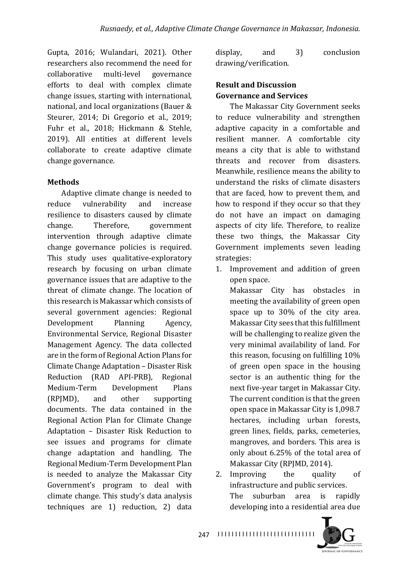Gupta, 2016; Wulandari, 2021). Other researchers also recommend the need for collaborative multi-level governance efforts to deal with complex climate change issues, starting with international, national, and local organizations (Bauer & Steurer, 2014; Di Gregorio et al., 2019; Fuhr et al., 2018; Hickmann & Stehle, 2019). All entities at different levels collaborate to create adaptive climate change governance.

## **Methods**

Adaptive climate change is needed to reduce vulnerability and increase resilience to disasters caused by climate change. Therefore, government intervention through adaptive climate change governance policies is required. This study uses qualitative-exploratory research by focusing on urban climate governance issues that are adaptive to the threat of climate change. The location of this research is Makassar which consists of several government agencies: Regional Development Planning Agency, Environmental Service, Regional Disaster Management Agency. The data collected are in the form of Regional Action Plans for Climate Change Adaptation - Disaster Risk Reduction (RAD API-PRB), Regional Medium-Term Development Plans (RPJMD), and other supporting documents. The data contained in the Regional Action Plan for Climate Change Adaptation - Disaster Risk Reduction to see issues and programs for climate change adaptation and handling. The Regional Medium-Term Development Plan is needed to analyze the Makassar City Government's program to deal with climate change. This study's data analysis techniques are 1) reduction, 2) data 

display, and 3) conclusion drawing/verification. 

## **Result and Discussion Governance and Services**

The Makassar City Government seeks to reduce vulnerability and strengthen adaptive capacity in a comfortable and resilient manner. A comfortable city means a city that is able to withstand threats and recover from disasters. Meanwhile, resilience means the ability to understand the risks of climate disasters that are faced, how to prevent them, and how to respond if they occur so that they do not have an impact on damaging aspects of city life. Therefore, to realize these two things, the Makassar City Government implements seven leading strategies:

1. Improvement and addition of green open space.

Makassar City has obstacles in meeting the availability of green open space up to  $30\%$  of the city area. Makassar City sees that this fulfillment will be challenging to realize given the very minimal availability of land. For this reason, focusing on fulfilling  $10\%$ of green open space in the housing sector is an authentic thing for the next five-year target in Makassar City. The current condition is that the green open space in Makassar City is 1,098.7 hectares, including urban forests, green lines, fields, parks, cemeteries, mangroves, and borders. This area is only about 6.25% of the total area of Makassar City (RPJMD, 2014).

2. Improving the quality of infrastructure and public services. The suburban area is rapidly developing into a residential area due

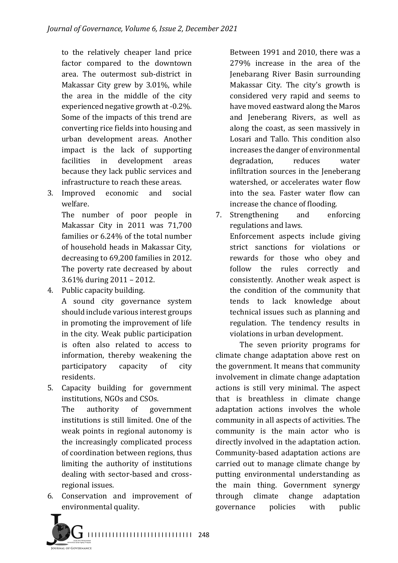to the relatively cheaper land price factor compared to the downtown area. The outermost sub-district in Makassar City grew by 3.01%, while the area in the middle of the city experienced negative growth at -0.2%. Some of the impacts of this trend are converting rice fields into housing and urban development areas. Another impact is the lack of supporting facilities in development areas because they lack public services and infrastructure to reach these areas.

3. Improved economic and social welfare.

The number of poor people in Makassar City in 2011 was 71,700 families or  $6.24\%$  of the total number of household heads in Makassar City, decreasing to 69,200 families in 2012. The poverty rate decreased by about  $3.61\%$  during  $2011 - 2012$ .

4. Public capacity building.

A sound city governance system should include various interest groups in promoting the improvement of life in the city. Weak public participation is often also related to access to information, thereby weakening the participatory capacity of city residents.

- 5. Capacity building for government institutions, NGOs and CSOs. The authority of government institutions is still limited. One of the weak points in regional autonomy is the increasingly complicated process of coordination between regions, thus limiting the authority of institutions dealing with sector-based and crossregional issues.
- 6. Conservation and improvement of environmental quality.

Between 1991 and 2010, there was a 279% increase in the area of the Jenebarang River Basin surrounding Makassar City. The city's growth is considered very rapid and seems to have moved eastward along the Maros and Jeneberang Rivers, as well as along the coast, as seen massively in Losari and Tallo. This condition also increases the danger of environmental degradation, reduces water infiltration sources in the Jeneberang watershed, or accelerates water flow into the sea. Faster water flow can increase the chance of flooding.

7. Strengthening and enforcing regulations and laws.

Enforcement aspects include giving strict sanctions for violations or rewards for those who obey and follow the rules correctly and consistently. Another weak aspect is the condition of the community that tends to lack knowledge about technical issues such as planning and regulation. The tendency results in violations in urban development.

The seven priority programs for climate change adaptation above rest on the government. It means that community involvement in climate change adaptation actions is still very minimal. The aspect that is breathless in climate change adaptation actions involves the whole community in all aspects of activities. The community is the main actor who is directly involved in the adaptation action. Community-based adaptation actions are carried out to manage climate change by putting environmental understanding as the main thing. Government synergy through climate change adaptation governance policies with public 

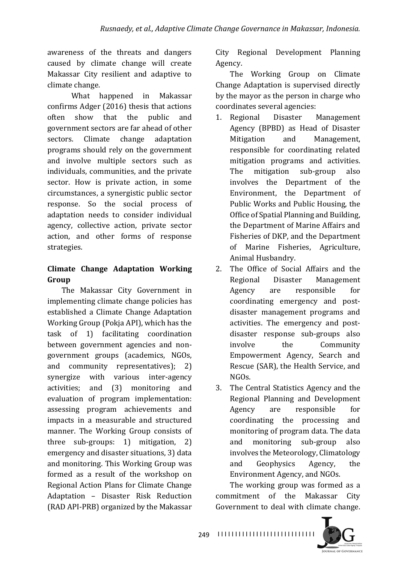awareness of the threats and dangers caused by climate change will create Makassar City resilient and adaptive to climate change.

What happened in Makassar confirms Adger  $(2016)$  thesis that actions often show that the public and government sectors are far ahead of other sectors. Climate change adaptation programs should rely on the government and involve multiple sectors such as individuals, communities, and the private sector. How is private action, in some circumstances, a synergistic public sector response. So the social process of adaptation needs to consider individual agency, collective action, private sector action, and other forms of response strategies.

# **Climate Change Adaptation Working Group**

The Makassar City Government in implementing climate change policies has established a Climate Change Adaptation Working Group (Pokja API), which has the task of 1) facilitating coordination between government agencies and nongovernment groups (academics, NGOs, and community representatives); 2) synergize with various inter-agency activities; and (3) monitoring and evaluation of program implementation: assessing program achievements and impacts in a measurable and structured manner. The Working Group consists of three  $sub-groups: 1)$  mitigation, 2) emergency and disaster situations, 3) data and monitoring. This Working Group was formed as a result of the workshop on Regional Action Plans for Climate Change Adaptation - Disaster Risk Reduction (RAD API-PRB) organized by the Makassar

City Regional Development Planning Agency.

The Working Group on Climate Change Adaptation is supervised directly by the mayor as the person in charge who coordinates several agencies:

- 1. Regional Disaster Management Agency (BPBD) as Head of Disaster Mitigation and Management, responsible for coordinating related mitigation programs and activities. The mitigation sub-group also involves the Department of the Environment, the Department of Public Works and Public Housing, the Office of Spatial Planning and Building, the Department of Marine Affairs and Fisheries of DKP, and the Department of Marine Fisheries, Agriculture, Animal Husbandry.
- 2. The Office of Social Affairs and the Regional Disaster Management Agency are responsible for coordinating emergency and postdisaster management programs and activities. The emergency and postdisaster response sub-groups also involve the Community Empowerment Agency, Search and Rescue (SAR), the Health Service, and NGOs.
- 3. The Central Statistics Agency and the Regional Planning and Development Agency are responsible for coordinating the processing and monitoring of program data. The data and monitoring sub-group also involves the Meteorology, Climatology and Geophysics Agency, the Environment Agency, and NGOs.

The working group was formed as a commitment of the Makassar City Government to deal with climate change.

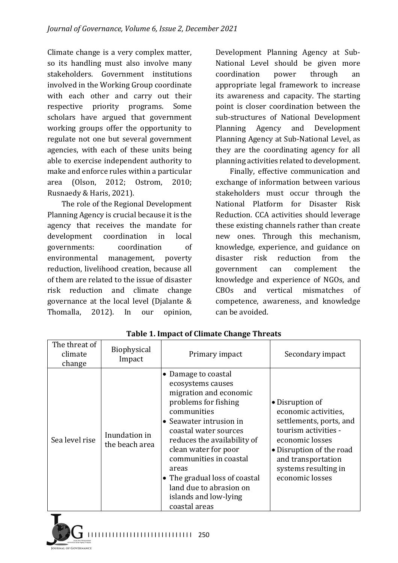Climate change is a very complex matter, so its handling must also involve many stakeholders. Government institutions involved in the Working Group coordinate with each other and carry out their respective priority programs. Some scholars have argued that government working groups offer the opportunity to regulate not one but several government agencies, with each of these units being able to exercise independent authority to make and enforce rules within a particular area (Olson, 2012; Ostrom, 2010; Rusnaedy & Haris, 2021).

The role of the Regional Development Planning Agency is crucial because it is the agency that receives the mandate for development coordination in local governments: coordination of environmental management, poverty reduction, livelihood creation, because all of them are related to the issue of disaster risk reduction and climate change governance at the local level (Djalante  $&$ Thomalla, 2012). In our opinion,

Development Planning Agency at Sub-National Level should be given more coordination power through an appropriate legal framework to increase its awareness and capacity. The starting point is closer coordination between the sub-structures of National Development Planning Agency and Development Planning Agency at Sub-National Level, as they are the coordinating agency for all planning activities related to development.

Finally, effective communication and exchange of information between various stakeholders must occur through the National Platform for Disaster Risk Reduction. CCA activities should leverage these existing channels rather than create new ones. Through this mechanism, knowledge, experience, and guidance on disaster risk reduction from the government can complement the knowledge and experience of NGOs, and CBOs and vertical mismatches of competence, awareness, and knowledge can be avoided.

| The threat of<br>climate<br>change | Biophysical<br>Impact           | Primary impact                                                                                                                                                                                                                                                                                                                                                | Secondary impact                                                                                                                                                                                           |
|------------------------------------|---------------------------------|---------------------------------------------------------------------------------------------------------------------------------------------------------------------------------------------------------------------------------------------------------------------------------------------------------------------------------------------------------------|------------------------------------------------------------------------------------------------------------------------------------------------------------------------------------------------------------|
| Sea level rise                     | Inundation in<br>the beach area | • Damage to coastal<br>ecosystems causes<br>migration and economic<br>problems for fishing<br>communities<br>• Seawater intrusion in<br>coastal water sources<br>reduces the availability of<br>clean water for poor<br>communities in coastal<br>areas<br>• The gradual loss of coastal<br>land due to abrasion on<br>islands and low-lying<br>coastal areas | • Disruption of<br>economic activities,<br>settlements, ports, and<br>tourism activities -<br>economic losses<br>• Disruption of the road<br>and transportation<br>systems resulting in<br>economic losses |

**Table 1. Impact of Climate Change Threats** 

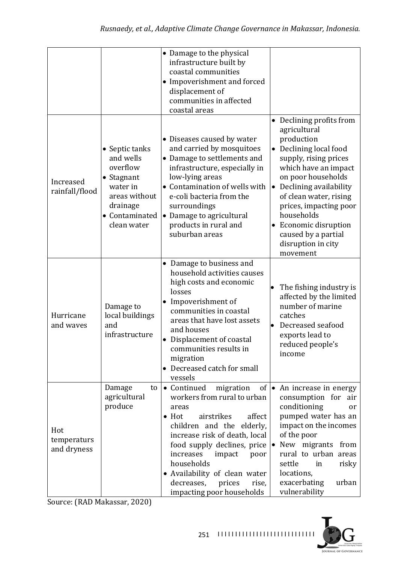|                                   |                                                                                                                             | • Damage to the physical<br>infrastructure built by<br>coastal communities<br>• Impoverishment and forced<br>displacement of<br>communities in affected<br>coastal areas                                                                                                                                                                                                       |                                                                                                                                                                                                                                                                                                                                                                          |
|-----------------------------------|-----------------------------------------------------------------------------------------------------------------------------|--------------------------------------------------------------------------------------------------------------------------------------------------------------------------------------------------------------------------------------------------------------------------------------------------------------------------------------------------------------------------------|--------------------------------------------------------------------------------------------------------------------------------------------------------------------------------------------------------------------------------------------------------------------------------------------------------------------------------------------------------------------------|
| Increased<br>rainfall/flood       | • Septic tanks<br>and wells<br>overflow<br>Stagnant<br>water in<br>areas without<br>drainage<br>Contaminated<br>clean water | • Diseases caused by water<br>and carried by mosquitoes<br>• Damage to settlements and<br>infrastructure, especially in<br>low-lying areas<br>• Contamination of wells with<br>e-coli bacteria from the<br>surroundings<br>• Damage to agricultural<br>products in rural and<br>suburban areas                                                                                 | • Declining profits from<br>agricultural<br>production<br>Declining local food<br>$\bullet$<br>supply, rising prices<br>which have an impact<br>on poor households<br>Declining availability<br>$\bullet$<br>of clean water, rising<br>prices, impacting poor<br>households<br>Economic disruption<br>$\bullet$<br>caused by a partial<br>disruption in city<br>movement |
| Hurricane<br>and waves            | Damage to<br>local buildings<br>and<br>infrastructure                                                                       | • Damage to business and<br>household activities causes<br>high costs and economic<br>losses<br>Impoverishment of<br>$\bullet$<br>communities in coastal<br>areas that have lost assets<br>and houses<br>Displacement of coastal<br>communities results in<br>migration<br>• Decreased catch for small<br>vessels                                                              | The fishing industry is<br>affected by the limited<br>number of marine<br>catches<br>Decreased seafood<br>exports lead to<br>reduced people's<br>income                                                                                                                                                                                                                  |
| Hot<br>temperaturs<br>and dryness | Damage<br>to<br>agricultural<br>produce                                                                                     | • Continued<br>migration<br>workers from rural to urban<br>areas<br>airstrikes<br>$\bullet$ Hot<br>affect<br>children and the elderly,<br>increase risk of death, local<br>food supply declines, price $\bullet$ New migrants from<br>increases<br>impact<br>poor<br>households<br>• Availability of clean water<br>decreases,<br>prices<br>rise,<br>impacting poor households | of $\bullet$ An increase in energy<br>consumption for air<br>conditioning<br>or<br>pumped water has an<br>impact on the incomes<br>of the poor<br>rural to urban areas<br>settle<br>risky<br>in<br>locations,<br>exacerbating<br>urban<br>vulnerability                                                                                                                  |

Source: (RAD Makassar, 2020)

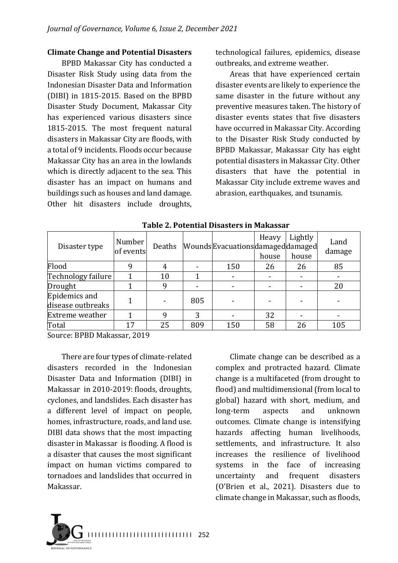#### **Climate Change and Potential Disasters**

BPBD Makassar City has conducted a Disaster Risk Study using data from the Indonesian Disaster Data and Information  $(DIBI)$  in 1815-2015. Based on the BPBD Disaster Study Document, Makassar City has experienced various disasters since 1815-2015. The most frequent natural disasters in Makassar City are floods, with a total of 9 incidents. Floods occur because Makassar City has an area in the lowlands which is directly adjacent to the sea. This disaster has an impact on humans and buildings such as houses and land damage. Other hit disasters include droughts,

technological failures, epidemics, disease outbreaks, and extreme weather.

Areas that have experienced certain disaster events are likely to experience the same disaster in the future without any preventive measures taken. The history of disaster events states that five disasters have occurred in Makassar City. According to the Disaster Risk Study conducted by BPBD Makassar, Makassar City has eight potential disasters in Makassar City. Other disasters that have the potential in Makassar City include extreme waves and abrasion, earthquakes, and tsunamis.

| Disaster type                      | Number<br>of events | Deaths |     | WoundsEvacuationsdamageddamaged | Heavy<br>house | Lightly<br>house | Land<br>damage |
|------------------------------------|---------------------|--------|-----|---------------------------------|----------------|------------------|----------------|
| Flood                              |                     | 4      |     | 150                             | 26             | 26               | 85             |
| Technology failure                 |                     | 10     |     |                                 |                |                  |                |
| Drought                            |                     | 9      |     |                                 |                |                  | 20             |
| Epidemics and<br>disease outbreaks |                     |        | 805 |                                 |                |                  |                |
| <b>Extreme</b> weather             |                     | 9      | 3   |                                 | 32             |                  |                |
| Total                              | 17                  | 25     | 809 | 150                             | 58             | 26               | 105            |

#### **Table 2. Potential Disasters in Makassar**

Source: BPBD Makassar, 2019

There are four types of climate-related disasters recorded in the Indonesian Disaster Data and Information (DIBI) in Makassar in 2010-2019: floods, droughts, cyclones, and landslides. Each disaster has a different level of impact on people, homes, infrastructure, roads, and land use. DIBI data shows that the most impacting disaster in Makassar is flooding. A flood is a disaster that causes the most significant impact on human victims compared to tornadoes and landslides that occurred in Makassar.

Climate change can be described as a complex and protracted hazard. Climate change is a multifaceted (from drought to flood) and multidimensional (from local to global) hazard with short, medium, and long-term aspects and unknown outcomes. Climate change is intensifying hazards affecting human livelihoods, settlements, and infrastructure. It also increases the resilience of livelihood systems in the face of increasing uncertainty and frequent disasters (O'Brien et al., 2021). Disasters due to climate change in Makassar, such as floods,

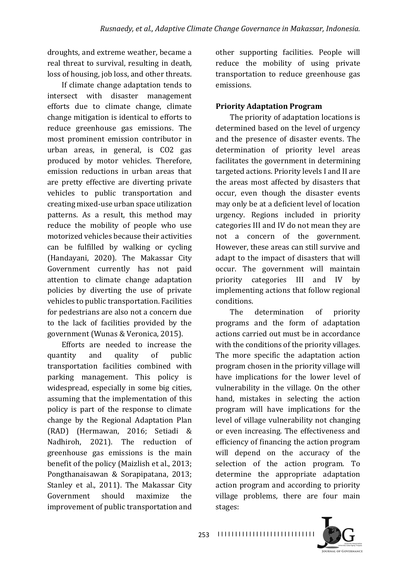droughts, and extreme weather, became a real threat to survival, resulting in death, loss of housing, job loss, and other threats.

If climate change adaptation tends to intersect with disaster management efforts due to climate change, climate change mitigation is identical to efforts to reduce greenhouse gas emissions. The most prominent emission contributor in urban areas, in general, is CO2 gas produced by motor vehicles. Therefore, emission reductions in urban areas that are pretty effective are diverting private vehicles to public transportation and creating mixed-use urban space utilization patterns. As a result, this method may reduce the mobility of people who use motorized vehicles because their activities can be fulfilled by walking or cycling (Handayani, 2020). The Makassar City Government currently has not paid attention to climate change adaptation policies by diverting the use of private vehicles to public transportation. Facilities for pedestrians are also not a concern due to the lack of facilities provided by the government (Wunas & Veronica, 2015).

Efforts are needed to increase the quantity and quality of public transportation facilities combined with parking management. This policy is widespread, especially in some big cities, assuming that the implementation of this policy is part of the response to climate change by the Regional Adaptation Plan (RAD) (Hermawan, 2016; Setiadi & Nadhiroh, 2021). The reduction of greenhouse gas emissions is the main benefit of the policy (Maizlish et al., 2013; Pongthanaisawan & Sorapipatana, 2013; Stanley et al., 2011). The Makassar City Government should maximize the improvement of public transportation and

other supporting facilities. People will reduce the mobility of using private transportation to reduce greenhouse gas emissions.

## **Priority Adaptation Program**

The priority of adaptation locations is determined based on the level of urgency and the presence of disaster events. The determination of priority level areas facilitates the government in determining targeted actions. Priority levels I and II are the areas most affected by disasters that occur, even though the disaster events may only be at a deficient level of location urgency. Regions included in priority categories III and IV do not mean they are not a concern of the government. However, these areas can still survive and adapt to the impact of disasters that will occur. The government will maintain priority categories III and IV by implementing actions that follow regional conditions.

The determination of priority programs and the form of adaptation actions carried out must be in accordance with the conditions of the priority villages. The more specific the adaptation action program chosen in the priority village will have implications for the lower level of vulnerability in the village. On the other hand, mistakes in selecting the action program will have implications for the level of village vulnerability not changing or even increasing. The effectiveness and efficiency of financing the action program will depend on the accuracy of the selection of the action program. To determine the appropriate adaptation action program and according to priority village problems, there are four main stages:

**TRNAL OF GOVERNANCE**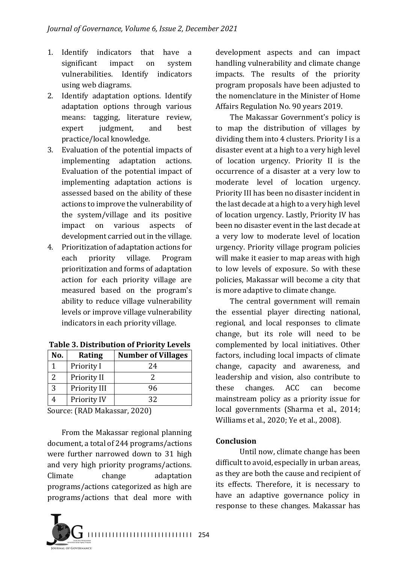- 1. Identify indicators that have a significant impact on system vulnerabilities. Identify indicators using web diagrams.
- 2. Identify adaptation options. Identify adaptation options through various means: tagging, literature review, expert judgment, and best practice/local knowledge.
- 3. Evaluation of the potential impacts of implementing adaptation actions. Evaluation of the potential impact of implementing adaptation actions is assessed based on the ability of these actions to improve the vulnerability of the system/village and its positive impact on various aspects of development carried out in the village.
- 4. Prioritization of adaptation actions for each priority village. Program prioritization and forms of adaptation action for each priority village are measured based on the program's ability to reduce village vulnerability levels or improve village vulnerability indicators in each priority village.

| No.            | Rating       | <b>Number of Villages</b> |
|----------------|--------------|---------------------------|
|                | Priority I   | 24                        |
| $\overline{2}$ | Priority II  |                           |
| 3              | Priority III | 96                        |
| 4              | Priority IV  | 32                        |

**Table 3. Distribution of Priority Levels** 

Source: (RAD Makassar, 2020)

From the Makassar regional planning document, a total of 244 programs/actions were further narrowed down to 31 high and very high priority programs/actions. Climate change adaptation programs/actions categorized as high are programs/actions that deal more with



development aspects and can impact handling vulnerability and climate change impacts. The results of the priority program proposals have been adjusted to the nomenclature in the Minister of Home Affairs Regulation No. 90 years 2019.

The Makassar Government's policy is to map the distribution of villages by dividing them into 4 clusters. Priority I is a disaster event at a high to a very high level of location urgency. Priority II is the occurrence of a disaster at a very low to moderate level of location urgency. Priority III has been no disaster incident in the last decade at a high to a very high level of location urgency. Lastly, Priority IV has been no disaster event in the last decade at a very low to moderate level of location urgency. Priority village program policies will make it easier to map areas with high to low levels of exposure. So with these policies, Makassar will become a city that is more adaptive to climate change.

The central government will remain the essential player directing national, regional, and local responses to climate change, but its role will need to be complemented by local initiatives. Other factors, including local impacts of climate change, capacity and awareness, and leadership and vision, also contribute to these changes. ACC can become mainstream policy as a priority issue for local governments (Sharma et al., 2014; Williams et al., 2020; Ye et al., 2008).

### **Conclusion**

Until now, climate change has been difficult to avoid, especially in urban areas, as they are both the cause and recipient of its effects. Therefore, it is necessary to have an adaptive governance policy in response to these changes. Makassar has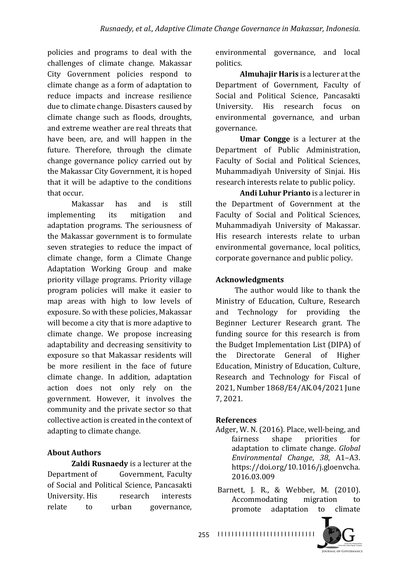policies and programs to deal with the challenges of climate change. Makassar City Government policies respond to climate change as a form of adaptation to reduce impacts and increase resilience due to climate change. Disasters caused by climate change such as floods, droughts, and extreme weather are real threats that have been, are, and will happen in the future. Therefore, through the climate change governance policy carried out by the Makassar City Government, it is hoped that it will be adaptive to the conditions that occur.

Makassar has and is still implementing its mitigation and adaptation programs. The seriousness of the Makassar government is to formulate seven strategies to reduce the impact of climate change, form a Climate Change Adaptation Working Group and make priority village programs. Priority village program policies will make it easier to map areas with high to low levels of exposure. So with these policies, Makassar will become a city that is more adaptive to climate change. We propose increasing adaptability and decreasing sensitivity to exposure so that Makassar residents will be more resilient in the face of future climate change. In addition, adaptation action does not only rely on the government. However, it involves the community and the private sector so that collective action is created in the context of adapting to climate change.

## **About Authors**

**Zaldi Rusnaedy** is a lecturer at the Department of Government, Faculty of Social and Political Science, Pancasakti University. His research interests relate to urban governance, environmental governance, and local politics.

**Almuhajir Haris** is a lecturer at the Department of Government, Faculty of Social and Political Science, Pancasakti University. His research focus on environmental governance, and urban governance.

**Umar Congge** is a lecturer at the Department of Public Administration, Faculty of Social and Political Sciences, Muhammadiyah University of Sinjai. His research interests relate to public policy.

**Andi Luhur Prianto** is a lecturer in the Department of Government at the Faculty of Social and Political Sciences, Muhammadiyah University of Makassar. His research interests relate to urban environmental governance, local politics, corporate governance and public policy.

## **Acknowledgments**

The author would like to thank the Ministry of Education, Culture, Research and Technology for providing the Beginner Lecturer Research grant. The funding source for this research is from the Budget Implementation List (DIPA) of the Directorate General of Higher Education, Ministry of Education, Culture, Research and Technology for Fiscal of 2021, Number 1868/E4/AK.04/2021 June 7, 2021.

## **References**

- Adger, W. N. (2016). Place, well-being, and fairness shape priorities for adaptation to climate change. *Global Environmental Change*, *38*, A1–A3. https://doi.org/10.1016/j.gloenvcha. 2016.03.009
- Barnett, J. R., & Webber, M. (2010). Accommodating migration to promote adaptation to climate

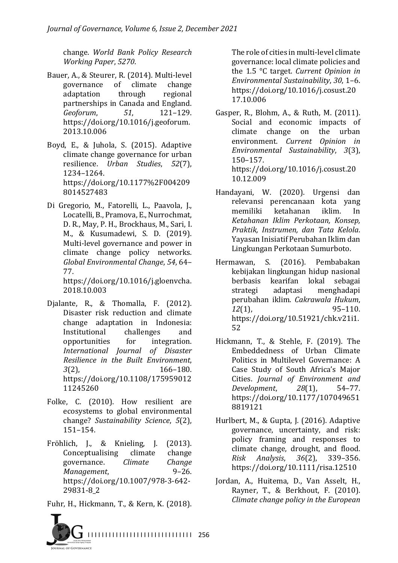change. *World Bank Policy Research Working Paper*, *5270*.

- Bauer, A., & Steurer, R. (2014). Multi-level governance of climate change adaptation through regional partnerships in Canada and England. *Geoforum*, *51*, 121–129. https://doi.org/10.1016/j.geoforum. 2013.10.006
- Boyd, E., & Juhola, S. (2015). Adaptive climate change governance for urban resilience. *Urban Studies*, *52*(7), 1234–1264. https://doi.org/10.1177%2F004209 8014527483
- Di Gregorio, M., Fatorelli, L., Paavola, J., Locatelli, B., Pramova, E., Nurrochmat, D. R., May, P. H., Brockhaus, M., Sari, I. M., & Kusumadewi, S. D. (2019). Multi-level governance and power in climate change policy networks. *Global Environmental Change*, *54*, 64– 77.

https://doi.org/10.1016/j.gloenvcha. 2018.10.003

- Djalante, R., & Thomalla, F. (2012). Disaster risk reduction and climate change adaptation in Indonesia: Institutional challenges and opportunities for integration. *International Journal of Disaster Resilience in the Built Environment*, *3*(2), 166–180. https://doi.org/10.1108/175959012 11245260
- Folke, C. (2010). How resilient are ecosystems to global environmental change? *Sustainability Science*, *5*(2), 151–154.
- Fröhlich, J., & Knieling, J. (2013). Conceptualising climate change governance. *Climate Change Management*, 9-26. https://doi.org/10.1007/978-3-642- 29831-8\_2

Fuhr, H., Hickmann, T., & Kern, K. (2018).

The role of cities in multi-level climate governance: local climate policies and the 1.5 °C target. *Current Opinion in Environmental Sustainability*, *30*, 1–6. https://doi.org/10.1016/j.cosust.20 17.10.006

- Gasper, R., Blohm, A., & Ruth, M. (2011). Social and economic impacts of climate change on the urban environment. *Current Opinion in Environmental Sustainability*, *3*(3), 150–157. https://doi.org/10.1016/j.cosust.20 10.12.009
- Handayani, W. (2020). Urgensi dan relevansi perencanaan kota yang memiliki ketahanan iklim. In *Ketahanan Iklim Perkotaan, Konsep, Praktik, Instrumen, dan Tata Kelola*. Yayasan Inisiatif Perubahan Iklim dan Lingkungan Perkotaan Sumurboto.
- Hermawan, S. (2016). Pembabakan kebijakan lingkungan hidup nasional berbasis kearifan lokal sebagai strategi adaptasi menghadapi perubahan iklim. *Cakrawala Hukum*, *12*(1), 95–110. https://doi.org/10.51921/chk.v21i1. 52
- Hickmann, T., & Stehle, F. (2019). The Embeddedness of Urban Climate Politics in Multilevel Governance: A Case Study of South Africa's Major Cities. *Journal of Environment and Development*, *28*(1), 54–77. https://doi.org/10.1177/107049651 8819121
- Hurlbert, M., & Gupta, J. (2016). Adaptive governance, uncertainty, and risk: policy framing and responses to climate change, drought, and flood. *Risk Analysis*, *36*(2), 339–356. https://doi.org/10.1111/risa.12510
- Jordan, A., Huitema, D., Van Asselt, H., Rayner, T., & Berkhout, F. (2010). *Climate change policy in the European*

I I I I I I I I I I I I I I I I I I I I I I I I I I I I I I 256 **DURNAL OF GOVERNANCE**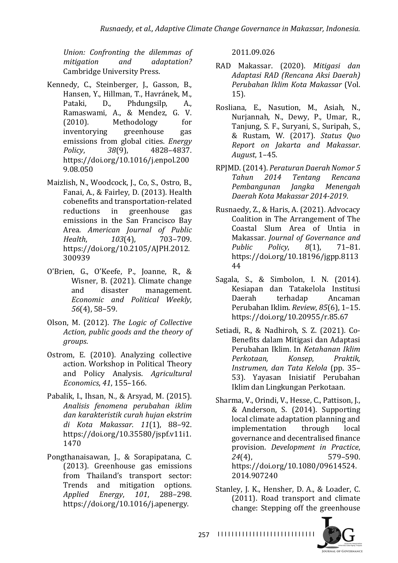*Union: Confronting the dilemmas of mitigation and adaptation?* Cambridge University Press.

- Kennedy, C., Steinberger, J., Gasson, B., Hansen, Y., Hillman, T., Havránek, M., Pataki, D., Phdungsilp, A., Ramaswami, A., & Mendez, G. V. (2010). Methodology for inventorying greenhouse gas emissions from global cities. *Energy Policy*, *38*(9), 4828–4837. https://doi.org/10.1016/j.enpol.200 9.08.050
- Maizlish, N., Woodcock, J., Co, S., Ostro, B., Fanai, A., & Fairley, D. (2013). Health cobenefits and transportation-related reductions in greenhouse gas emissions in the San Francisco Bay Area. *American Journal of Public Health*, *103*(4), 703–709. https://doi.org/10.2105/AJPH.2012. 300939
- O'Brien, G., O'Keefe, P., Joanne, R., & Wisner, B. (2021). Climate change and disaster management. *Economic and Political Weekly*, *56*(4), 58–59.
- Olson, M. (2012). *The Logic of Collective* Action, public goods and the theory of *groups*.
- Ostrom, E. (2010). Analyzing collective action. Workshop in Political Theory and Policy Analysis. Agricultural *Economics*, *41*, 155–166.
- Pabalik, I., Ihsan, N., & Arsyad, M. (2015). *Analisis fenomena perubahan iklim dan karakteristik curah hujan ekstrim di Kota Makassar*. *11*(1), 88–92. https://doi.org/10.35580/jspf.v11i1. 1470
- Pongthanaisawan, J., & Sorapipatana, C. (2013). Greenhouse gas emissions from Thailand's transport sector: Trends and mitigation options. *Applied Energy*, *101*, 288–298. https://doi.org/10.1016/j.apenergy.

2011.09.026

- RAD Makassar. (2020). *Mitigasi dan Adaptasi RAD (Rencana Aksi Daerah) Perubahan Iklim Kota Makassar* (Vol. 15).
- Rosliana, E., Nasution, M., Asiah, N., Nurjannah, N., Dewy, P., Umar, R., Tanjung, S. F., Suryani, S., Suripah, S., & Rustam, W. (2017). *Status Quo Report on Jakarta and Makassar*. *August*, 1–45.
- RPJMD. (2014). *Peraturan Daerah Nomor 5 Tahun 2014 Tentang Rencana Pembangunan Jangka Menengah Daerah Kota Makassar 2014-2019*.
- Rusnaedy, Z., & Haris, A. (2021). Advocacy Coalition in The Arrangement of The Coastal Slum Area of Untia in Makassar. *Journal of Governance and Public Policy*, *8*(1), 71–81. https://doi.org/10.18196/jgpp.8113 44
- Sagala, S., & Simbolon, I. N. (2014). Kesiapan dan Tatakelola Institusi Daerah terhadap Ancaman Perubahan Iklim. *Review*, *85*(6), 1–15. https://doi.org/10.20955/r.85.67
- Setiadi, R., & Nadhiroh, S. Z. (2021). Co-Benefits dalam Mitigasi dan Adaptasi Perubahan Iklim. In *Ketahanan Iklim Perkotaan, Konsep, Praktik, Instrumen, dan Tata Kelola* (pp. 35– 53). Yayasan Inisiatif Perubahan Iklim dan Lingkungan Perkotaan.
- Sharma, V., Orindi, V., Hesse, C., Pattison, J., & Anderson, S. (2014). Supporting local climate adaptation planning and implementation through local governance and decentralised finance provision. *Development in Practice*, 24(4), 579–590. https://doi.org/10.1080/09614524. 2014.907240
- Stanley, J. K., Hensher, D. A., & Loader, C. (2011). Road transport and climate change: Stepping off the greenhouse